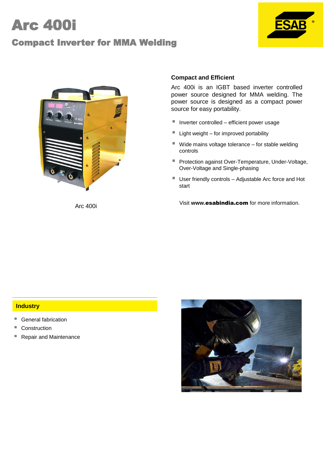# Arc 400i

# Compact Inverter for MMA Welding





# **Compact and Efficient**

Arc 400i is an IGBT based inverter controlled power source designed for MMA welding. The power source is designed as a compact power source for easy portability.

- $\blacksquare$  Inverter controlled efficient power usage
- Light weight for improved portability
- $\blacksquare$  Wide mains voltage tolerance  $-$  for stable welding controls
- **Protection against Over-Temperature, Under-Voltage,** Over-Voltage and Single-phasing
- User friendly controls Adjustable Arc force and Hot start

Visit **www.**esabindia.com for more information. Arc 400i

## **Industry**

- General fabrication
- Construction
- Repair and Maintenance

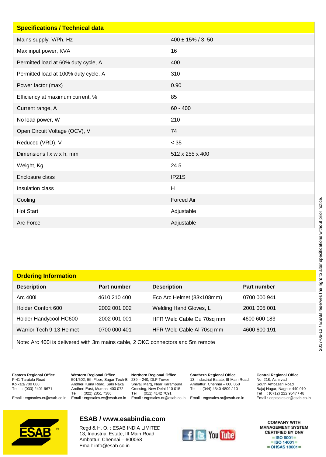| <b>Specifications / Technical data</b> |                        |
|----------------------------------------|------------------------|
| Mains supply, V/Ph, Hz                 | $400 \pm 15\%$ / 3, 50 |
| Max input power, KVA                   | 16                     |
| Permitted load at 60% duty cycle, A    | 400                    |
| Permitted load at 100% duty cycle, A   | 310                    |
| Power factor (max)                     | 0.90                   |
| Efficiency at maximum current, %       | 85                     |
| Current range, A                       | $60 - 400$             |
| No load power, W                       | 210                    |
| Open Circuit Voltage (OCV), V          | 74                     |
| Reduced (VRD), V                       | $< 35$                 |
| Dimensions I x w x h, mm               | 512 x 255 x 400        |
| Weight, Kg                             | 24.5                   |
| Enclosure class                        | IP21S                  |
| Insulation class                       | H                      |
| Cooling                                | <b>Forced Air</b>      |
| <b>Hot Start</b>                       | Adjustable             |
| Arc Force                              | Adjustable             |

| <b>Ordering Information</b>                                                     |              |                           |              |
|---------------------------------------------------------------------------------|--------------|---------------------------|--------------|
| <b>Description</b>                                                              | Part number  | <b>Description</b>        | Part number  |
| Arc 400i                                                                        | 4610 210 400 | Eco Arc Helmet (83x108mm) | 0700 000 941 |
| Holder Confort 600                                                              | 2002 001 002 | Welding Hand Gloves, L    | 2001 005 001 |
| Holder Handycool HC600                                                          | 2002 001 001 | HFR Weld Cable Cu 70sq mm | 4600 600 183 |
| Warrior Tech 9-13 Helmet                                                        | 0700 000 401 | HFR Weld Cable AI 70sq mm | 4600 600 191 |
| Note: Arc 400 iis delivered with 3m mains cable, 2 OKC connectors and 5m remote |              |                           |              |

**Eastern Regional Office** P-41 Taratala Road Kolkata 700 088 Tel : (033) 2401 9671

Email : eqptsales.er@esab.co.in **Western Regional Office** 501/502, 5th Floor, Sagar Tech-B Andheri Kurla Road, Saki Naka Andheri East, Mumbai 400 072 Tel : (022) 2851 7386 Email : eqptsales.wr@esab.co.in

**Northern Regional Office** 239 – 240, DLF Tower Shivaji Marg, Near Karampura Crossing, New Delhi 110 015 Tel : (011) 4142 7091

**Southern Regional Office** 13, Industrial Estate, III Main Road, Ambattur, Chennai – 600 058 Tel : (044) 4340 4809 / 10

Email : eqptsales.nr@esab.co.in Email : eqptsales.sr@esab.co.in

## **Central Regional Office**

No. 218, Ashirvad South Ambazari Road Bajaj Nagar, Nagpur 440 010<br>Tel : (0712) 222 9547 / 48  $: (0712)$  222 9547 / 48 Email : eqptsales.cr@esab.co.in



# **ESAB / www.esabindia.com**

Regd & H. O. : ESAB INDIA LIMITED 13, Industrial Estate, III Main Road Ambattur, Chennai – 600058 Email: info@esab.co.in



**COMPANY WITH MANAGEMENT SYSTEM CERTIFIED BY DNV**  $=$  ISO 9001 $=$  $=$  ISO 14001 $=$  $=$  OHSAS 18001 $=$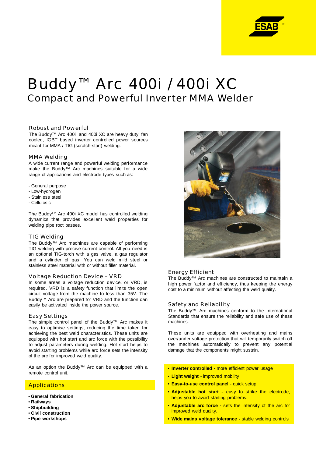

# Buddy™ Arc 400i / 400i XC Compact and Powerful Inverter MMA Welder

#### Robust and Powerful

The Buddy™ Arc 400i and 400i XC are heavy duty, fan cooled, IGBT based inverter controlled power sources meant for MMA / TIG (scratch-start) welding.

#### MMA Welding

A wide current range and powerful welding performance make the Buddy™ Arc machines suitable for a wide range of applications and electrode types such as:

- General purpose
- Low-hydrogen
- Stainless steel
- Cellulosic

The BuddyTM Arc 400i XC model has controlled welding dynamics that provides excellent weld properties for welding pipe root passes.

#### TIG Welding

The Buddy™ Arc machines are capable of performing TIG welding with precise current control. All you need is an optional TIG-torch with a gas valve, a gas regulator and a cylinder of gas. You can weld mild steel or stainless steel material with or without filler material.

#### Voltage Reduction Device – VRD

In some areas a voltage reduction device, or VRD, is required. VRD is a safety function that limits the open circuit voltage from the machine to less than 35V. The Buddy™ Arc are prepared for VRD and the function can easily be activated inside the power source.

#### Easy Settings

The simple control panel of the Buddy™ Arc makes it easy to optimise settings, reducing the time taken for achieving the best weld characteristics. These units are equipped with hot start and arc force with the possibility to adjust parameters during welding. Hot start helps to avoid starting problems while arc force sets the intensity of the arc for improved weld quality.

As an option the Buddy™ Arc can be equipped with a remote control unit.

#### **Applications**

- **General fabrication**
- **Railways**
- **Shipbuilding**
- **Civil construction**
- **Pipe workshops**



#### Energy Efficient

The Buddy™ Arc machines are constructed to maintain a high power factor and efficiency, thus keeping the energy cost to a minimum without affecting the weld quality.

#### Safety and Reliability

The Buddy™ Arc machines conform to the International Standards that ensure the reliability and safe use of these machines.

These units are equipped with overheating and mains over/under voltage protection that will temporarily switch off the machines automatically to prevent any potential damage that the components might sustain.

- **Inverter controlled -** more efficient power usage
- **Light weight** improved mobility
- **Easy-to-use control panel** quick setup
- **Adjustable hot start -** easy to strike the electrode, helps you to avoid starting problems.
- **Adjustable arc force -** sets the intensity of the arc for improved weld quality.
- **Wide mains voltage tolerance -** stable welding controls